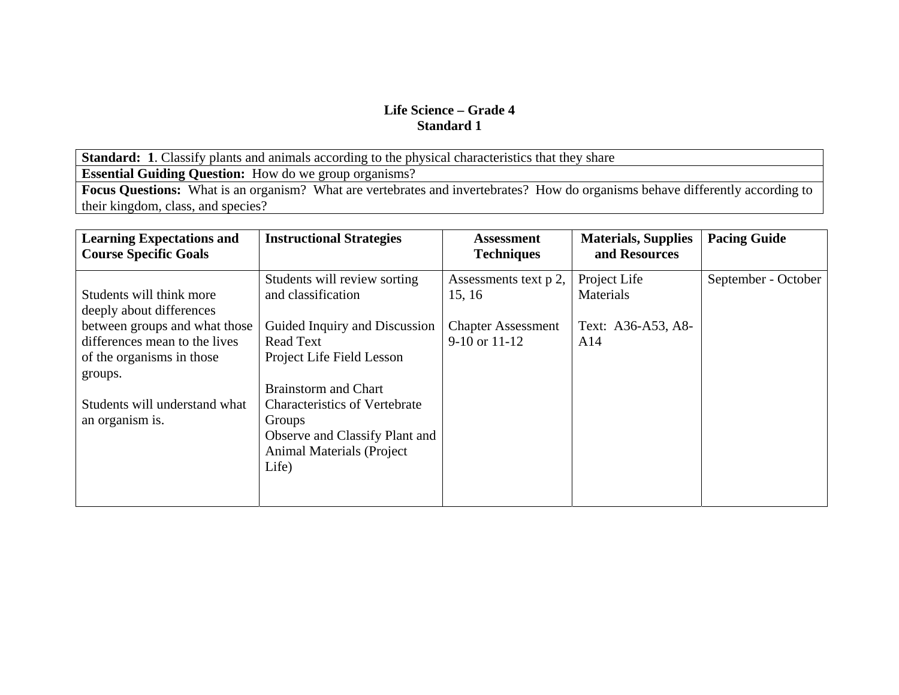**Standard: 1**. Classify plants and animals according to the physical characteristics that they share

**Essential Guiding Question:** How do we group organisms?

Focus Questions: What is an organism? What are vertebrates and invertebrates? How do organisms behave differently according to their kingdom, class, and species?

| <b>Learning Expectations and</b><br><b>Course Specific Goals</b> | <b>Instructional Strategies</b>      | Assessment<br><b>Techniques</b> | <b>Materials, Supplies</b><br>and Resources | <b>Pacing Guide</b> |
|------------------------------------------------------------------|--------------------------------------|---------------------------------|---------------------------------------------|---------------------|
|                                                                  | Students will review sorting         | Assessments text p 2,           | Project Life                                | September - October |
| Students will think more<br>deeply about differences             | and classification                   | 15, 16                          | Materials                                   |                     |
| between groups and what those                                    | Guided Inquiry and Discussion        | <b>Chapter Assessment</b>       | Text: A36-A53, A8-                          |                     |
| differences mean to the lives                                    | <b>Read Text</b>                     | $9-10$ or $11-12$               | A14                                         |                     |
| of the organisms in those                                        | Project Life Field Lesson            |                                 |                                             |                     |
| groups.                                                          |                                      |                                 |                                             |                     |
|                                                                  | <b>Brainstorm and Chart</b>          |                                 |                                             |                     |
| Students will understand what                                    | <b>Characteristics of Vertebrate</b> |                                 |                                             |                     |
| an organism is.                                                  | Groups                               |                                 |                                             |                     |
|                                                                  | Observe and Classify Plant and       |                                 |                                             |                     |
|                                                                  | <b>Animal Materials (Project</b> )   |                                 |                                             |                     |
|                                                                  | Life)                                |                                 |                                             |                     |
|                                                                  |                                      |                                 |                                             |                     |
|                                                                  |                                      |                                 |                                             |                     |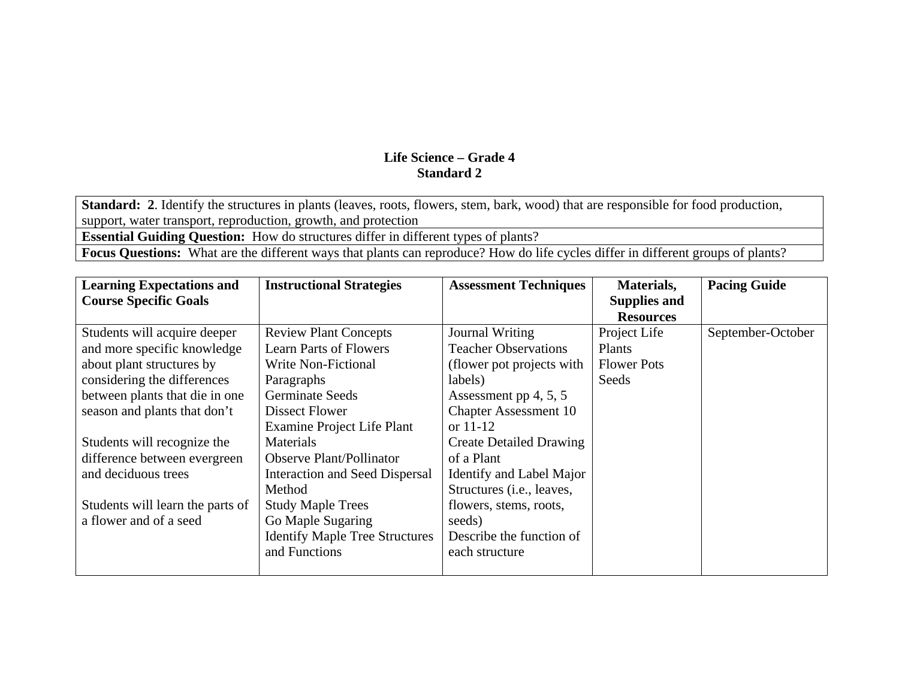**Standard: 2**. Identify the structures in plants (leaves, roots, flowers, stem, bark, wood) that are responsible for food production, support, water transport, reproduction, growth, and protection

**Essential Guiding Question:** How do structures differ in different types of plants?

**Focus Questions:** What are the different ways that plants can reproduce? How do life cycles differ in different groups of plants?

| <b>Learning Expectations and</b> | <b>Instructional Strategies</b>       | <b>Assessment Techniques</b>       | Materials,          | <b>Pacing Guide</b> |
|----------------------------------|---------------------------------------|------------------------------------|---------------------|---------------------|
| <b>Course Specific Goals</b>     |                                       |                                    | <b>Supplies and</b> |                     |
|                                  |                                       |                                    | <b>Resources</b>    |                     |
| Students will acquire deeper     | <b>Review Plant Concepts</b>          | Journal Writing                    | Project Life        | September-October   |
| and more specific knowledge      | <b>Learn Parts of Flowers</b>         | <b>Teacher Observations</b>        | Plants              |                     |
| about plant structures by        | Write Non-Fictional                   | (flower pot projects with          | <b>Flower Pots</b>  |                     |
| considering the differences      | Paragraphs                            | labels)                            | Seeds               |                     |
| between plants that die in one   | <b>Germinate Seeds</b>                | Assessment pp $4, 5, 5$            |                     |                     |
| season and plants that don't     | Dissect Flower                        | <b>Chapter Assessment 10</b>       |                     |                     |
|                                  | Examine Project Life Plant            | or $11-12$                         |                     |                     |
| Students will recognize the      | <b>Materials</b>                      | <b>Create Detailed Drawing</b>     |                     |                     |
| difference between evergreen     | <b>Observe Plant/Pollinator</b>       | of a Plant                         |                     |                     |
| and deciduous trees              | Interaction and Seed Dispersal        | Identify and Label Major           |                     |                     |
|                                  | Method                                | Structures ( <i>i.e.</i> , leaves, |                     |                     |
| Students will learn the parts of | <b>Study Maple Trees</b>              | flowers, stems, roots,             |                     |                     |
| a flower and of a seed           | Go Maple Sugaring                     | seeds)                             |                     |                     |
|                                  | <b>Identify Maple Tree Structures</b> | Describe the function of           |                     |                     |
|                                  | and Functions                         | each structure                     |                     |                     |
|                                  |                                       |                                    |                     |                     |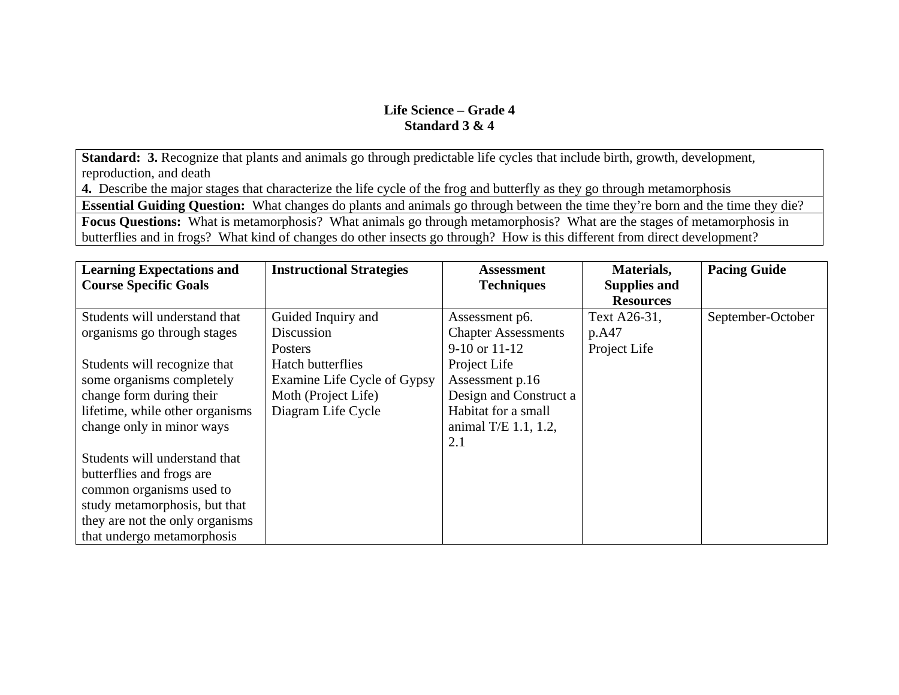**Standard: 3.** Recognize that plants and animals go through predictable life cycles that include birth, growth, development, reproduction, and death

**4.** Describe the major stages that characterize the life cycle of the frog and butterfly as they go through metamorphosis

**Essential Guiding Question:** What changes do plants and animals go through between the time they're born and the time they die?

**Focus Questions:** What is metamorphosis? What animals go through metamorphosis? What are the stages of metamorphosis in butterflies and in frogs? What kind of changes do other insects go through? How is this different from direct development?

| <b>Learning Expectations and</b> | <b>Instructional Strategies</b> | Assessment                 | Materials,          | <b>Pacing Guide</b> |
|----------------------------------|---------------------------------|----------------------------|---------------------|---------------------|
| <b>Course Specific Goals</b>     |                                 | <b>Techniques</b>          | <b>Supplies and</b> |                     |
|                                  |                                 |                            | <b>Resources</b>    |                     |
| Students will understand that    | Guided Inquiry and              | Assessment p6.             | Text A26-31,        | September-October   |
| organisms go through stages      | Discussion                      | <b>Chapter Assessments</b> | p.A47               |                     |
|                                  | Posters                         | $9-10$ or $11-12$          | Project Life        |                     |
| Students will recognize that     | <b>Hatch butterflies</b>        | Project Life               |                     |                     |
| some organisms completely        | Examine Life Cycle of Gypsy     | Assessment p.16            |                     |                     |
| change form during their         | Moth (Project Life)             | Design and Construct a     |                     |                     |
| lifetime, while other organisms  | Diagram Life Cycle              | Habitat for a small        |                     |                     |
| change only in minor ways        |                                 | animal T/E $1.1, 1.2,$     |                     |                     |
|                                  |                                 | 2.1                        |                     |                     |
| Students will understand that    |                                 |                            |                     |                     |
| butterflies and frogs are        |                                 |                            |                     |                     |
| common organisms used to         |                                 |                            |                     |                     |
| study metamorphosis, but that    |                                 |                            |                     |                     |
| they are not the only organisms  |                                 |                            |                     |                     |
| that undergo metamorphosis       |                                 |                            |                     |                     |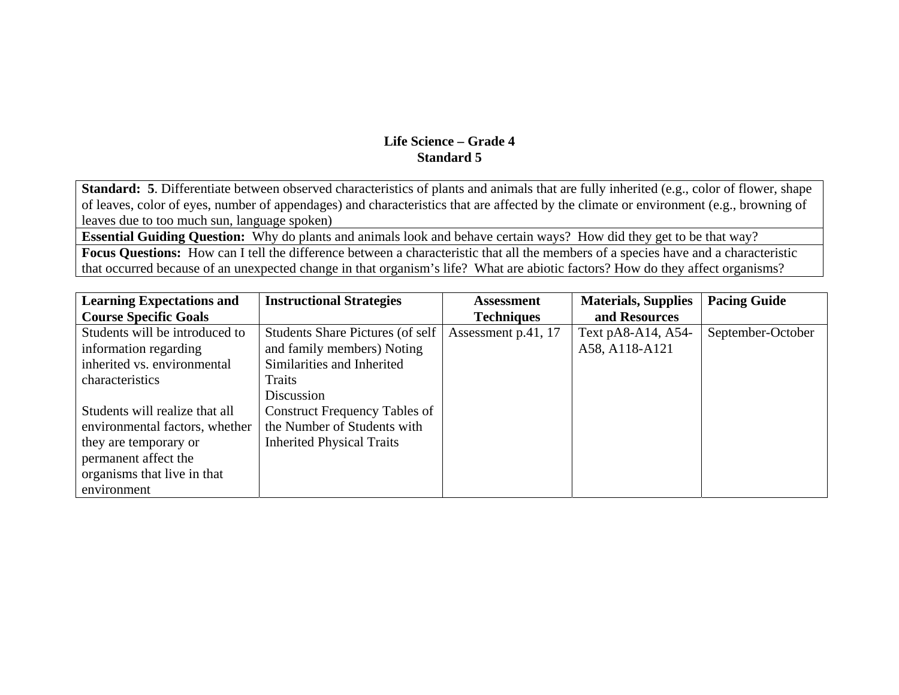**Standard: 5**. Differentiate between observed characteristics of plants and animals that are fully inherited (e.g., color of flower, shape of leaves, color of eyes, number of appendages) and characteristics that are affected by the climate or environment (e.g., browning of leaves due to too much sun, language spoken)

**Essential Guiding Question:** Why do plants and animals look and behave certain ways? How did they get to be that way?

**Focus Questions:** How can I tell the difference between a characteristic that all the members of a species have and a characteristic that occurred because of an unexpected change in that organism's life? What are abiotic factors? How do they affect organisms?

| <b>Learning Expectations and</b> | <b>Instructional Strategies</b>         | <b>Assessment</b>   | <b>Materials, Supplies</b> | <b>Pacing Guide</b> |
|----------------------------------|-----------------------------------------|---------------------|----------------------------|---------------------|
| <b>Course Specific Goals</b>     |                                         | <b>Techniques</b>   | and Resources              |                     |
| Students will be introduced to   | <b>Students Share Pictures (of self</b> | Assessment p.41, 17 | Text pA8-A14, A54-         | September-October   |
| information regarding            | and family members) Noting              |                     | A58, A118-A121             |                     |
| inherited vs. environmental      | Similarities and Inherited              |                     |                            |                     |
| characteristics                  | Traits                                  |                     |                            |                     |
|                                  | Discussion                              |                     |                            |                     |
| Students will realize that all   | <b>Construct Frequency Tables of</b>    |                     |                            |                     |
| environmental factors, whether   | the Number of Students with             |                     |                            |                     |
| they are temporary or            | <b>Inherited Physical Traits</b>        |                     |                            |                     |
| permanent affect the             |                                         |                     |                            |                     |
| organisms that live in that      |                                         |                     |                            |                     |
| environment                      |                                         |                     |                            |                     |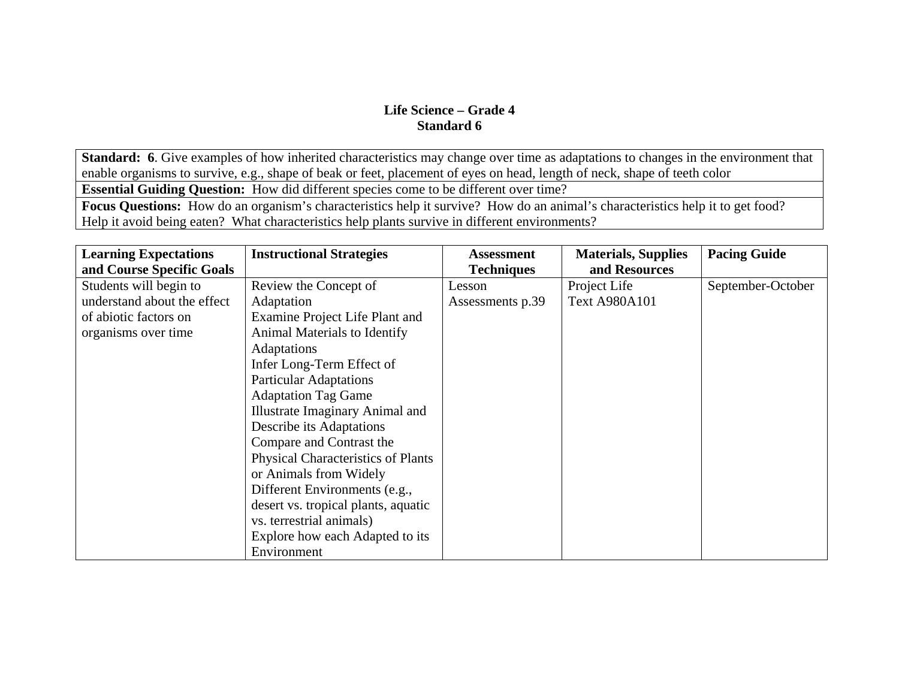**Standard: 6**. Give examples of how inherited characteristics may change over time as adaptations to changes in the environment that enable organisms to survive, e.g., shape of beak or feet, placement of eyes on head, length of neck, shape of teeth color

**Essential Guiding Question:** How did different species come to be different over time?

**Focus Questions:** How do an organism's characteristics help it survive? How do an animal's characteristics help it to get food? Help it avoid being eaten? What characteristics help plants survive in different environments?

| <b>Learning Expectations</b> | <b>Instructional Strategies</b>           | <b>Assessment</b> | <b>Materials, Supplies</b> | <b>Pacing Guide</b> |
|------------------------------|-------------------------------------------|-------------------|----------------------------|---------------------|
| and Course Specific Goals    |                                           | <b>Techniques</b> | and Resources              |                     |
| Students will begin to       | Review the Concept of                     | Lesson            | Project Life               | September-October   |
| understand about the effect  | Adaptation                                | Assessments p.39  | <b>Text A980A101</b>       |                     |
| of abiotic factors on        | Examine Project Life Plant and            |                   |                            |                     |
| organisms over time          | Animal Materials to Identify              |                   |                            |                     |
|                              | <b>Adaptations</b>                        |                   |                            |                     |
|                              | Infer Long-Term Effect of                 |                   |                            |                     |
|                              | <b>Particular Adaptations</b>             |                   |                            |                     |
|                              | <b>Adaptation Tag Game</b>                |                   |                            |                     |
|                              | <b>Illustrate Imaginary Animal and</b>    |                   |                            |                     |
|                              | Describe its Adaptations                  |                   |                            |                     |
|                              | Compare and Contrast the                  |                   |                            |                     |
|                              | <b>Physical Characteristics of Plants</b> |                   |                            |                     |
|                              | or Animals from Widely                    |                   |                            |                     |
|                              | Different Environments (e.g.,             |                   |                            |                     |
|                              | desert vs. tropical plants, aquatic       |                   |                            |                     |
|                              | vs. terrestrial animals)                  |                   |                            |                     |
|                              | Explore how each Adapted to its           |                   |                            |                     |
|                              | Environment                               |                   |                            |                     |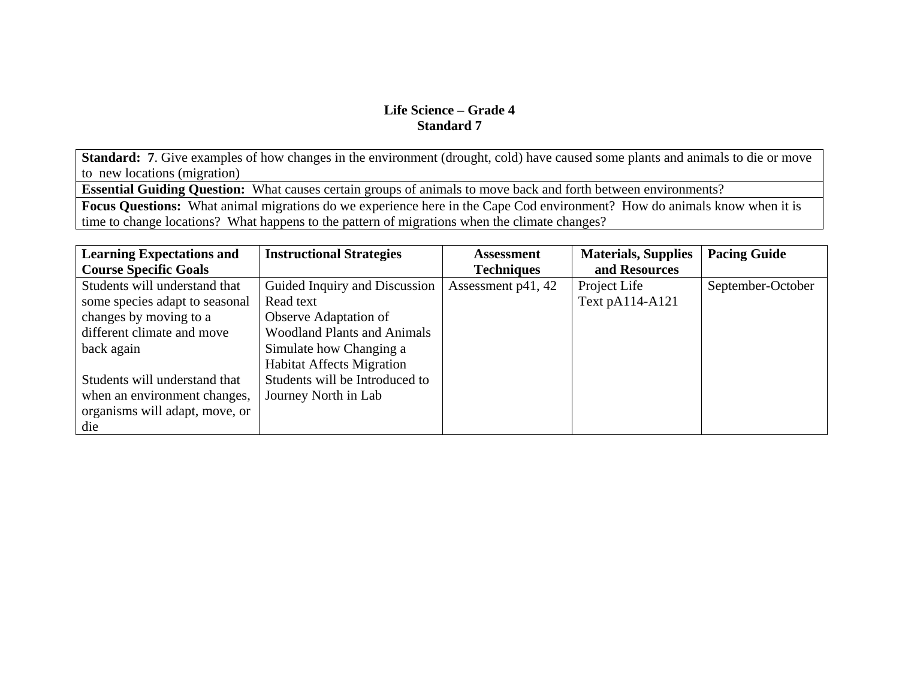**Standard: 7**. Give examples of how changes in the environment (drought, cold) have caused some plants and animals to die or move to new locations (migration)

**Essential Guiding Question:** What causes certain groups of animals to move back and forth between environments?

**Focus Questions:** What animal migrations do we experience here in the Cape Cod environment? How do animals know when it is time to change locations? What happens to the pattern of migrations when the climate changes?

| <b>Learning Expectations and</b> | <b>Instructional Strategies</b>    | <b>Assessment</b>  | <b>Materials, Supplies</b> | <b>Pacing Guide</b> |
|----------------------------------|------------------------------------|--------------------|----------------------------|---------------------|
| <b>Course Specific Goals</b>     |                                    | <b>Techniques</b>  | and Resources              |                     |
| Students will understand that    | Guided Inquiry and Discussion      | Assessment p41, 42 | Project Life               | September-October   |
| some species adapt to seasonal   | Read text                          |                    | Text pA114-A121            |                     |
| changes by moving to a           | Observe Adaptation of              |                    |                            |                     |
| different climate and move       | <b>Woodland Plants and Animals</b> |                    |                            |                     |
| back again                       | Simulate how Changing a            |                    |                            |                     |
|                                  | <b>Habitat Affects Migration</b>   |                    |                            |                     |
| Students will understand that    | Students will be Introduced to     |                    |                            |                     |
| when an environment changes,     | Journey North in Lab               |                    |                            |                     |
| organisms will adapt, move, or   |                                    |                    |                            |                     |
| die                              |                                    |                    |                            |                     |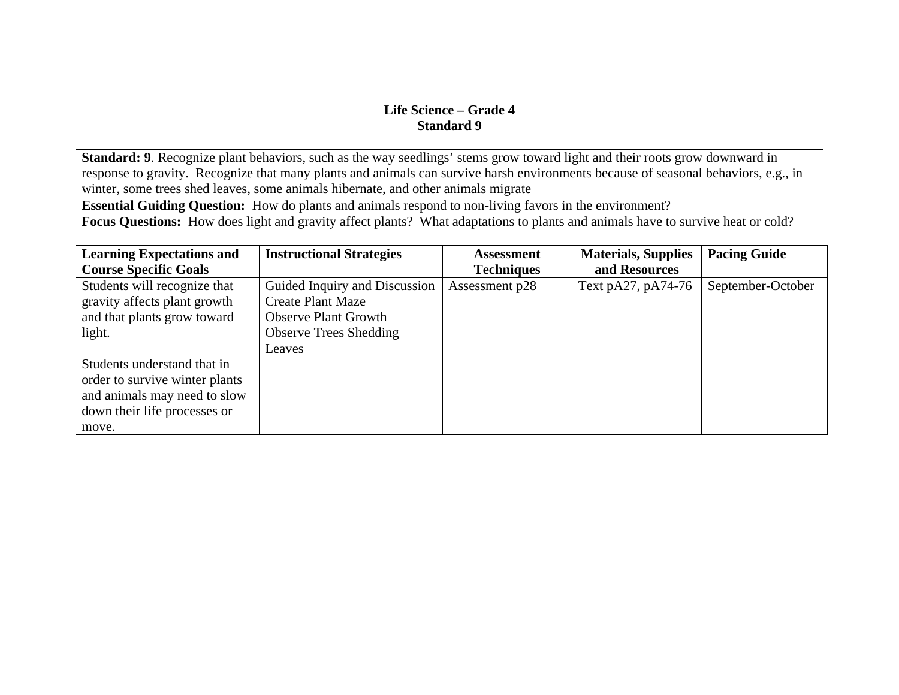**Standard: 9**. Recognize plant behaviors, such as the way seedlings' stems grow toward light and their roots grow downward in response to gravity. Recognize that many plants and animals can survive harsh environments because of seasonal behaviors, e.g., in winter, some trees shed leaves, some animals hibernate, and other animals migrate

**Essential Guiding Question:** How do plants and animals respond to non-living favors in the environment?

**Focus Questions:** How does light and gravity affect plants? What adaptations to plants and animals have to survive heat or cold?

| <b>Learning Expectations and</b> | <b>Instructional Strategies</b> | <b>Assessment</b> | <b>Materials, Supplies</b> | <b>Pacing Guide</b> |
|----------------------------------|---------------------------------|-------------------|----------------------------|---------------------|
| <b>Course Specific Goals</b>     |                                 | <b>Techniques</b> | and Resources              |                     |
| Students will recognize that     | Guided Inquiry and Discussion   | Assessment p28    | Text pA27, pA74-76         | September-October   |
| gravity affects plant growth     | <b>Create Plant Maze</b>        |                   |                            |                     |
| and that plants grow toward      | <b>Observe Plant Growth</b>     |                   |                            |                     |
| light.                           | <b>Observe Trees Shedding</b>   |                   |                            |                     |
|                                  | Leaves                          |                   |                            |                     |
| Students understand that in      |                                 |                   |                            |                     |
| order to survive winter plants   |                                 |                   |                            |                     |
| and animals may need to slow     |                                 |                   |                            |                     |
| down their life processes or     |                                 |                   |                            |                     |
| move.                            |                                 |                   |                            |                     |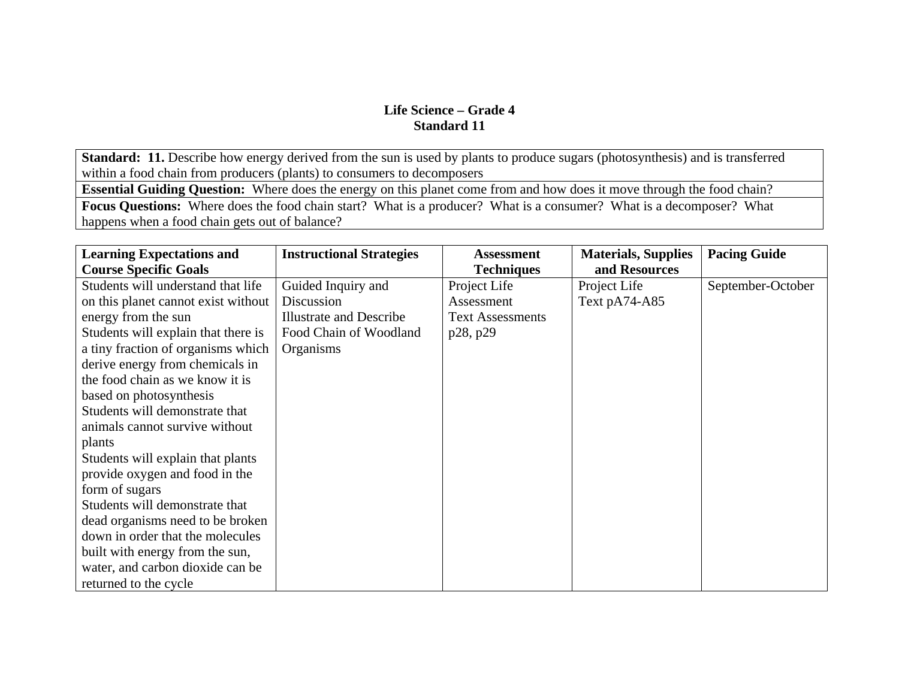**Standard: 11.** Describe how energy derived from the sun is used by plants to produce sugars (photosynthesis) and is transferred within a food chain from producers (plants) to consumers to decomposers

**Essential Guiding Question:** Where does the energy on this planet come from and how does it move through the food chain?

**Focus Questions:** Where does the food chain start? What is a producer? What is a consumer? What is a decomposer? What happens when a food chain gets out of balance?

| <b>Learning Expectations and</b>    | <b>Instructional Strategies</b> | Assessment              | <b>Materials, Supplies</b> | <b>Pacing Guide</b> |
|-------------------------------------|---------------------------------|-------------------------|----------------------------|---------------------|
| <b>Course Specific Goals</b>        |                                 | <b>Techniques</b>       | and Resources              |                     |
| Students will understand that life  | Guided Inquiry and              | Project Life            | Project Life               | September-October   |
| on this planet cannot exist without | Discussion                      | Assessment              | Text pA74-A85              |                     |
| energy from the sun                 | <b>Illustrate and Describe</b>  | <b>Text Assessments</b> |                            |                     |
| Students will explain that there is | Food Chain of Woodland          | p28, p29                |                            |                     |
| a tiny fraction of organisms which  | Organisms                       |                         |                            |                     |
| derive energy from chemicals in     |                                 |                         |                            |                     |
| the food chain as we know it is     |                                 |                         |                            |                     |
| based on photosynthesis             |                                 |                         |                            |                     |
| Students will demonstrate that      |                                 |                         |                            |                     |
| animals cannot survive without      |                                 |                         |                            |                     |
| plants                              |                                 |                         |                            |                     |
| Students will explain that plants   |                                 |                         |                            |                     |
| provide oxygen and food in the      |                                 |                         |                            |                     |
| form of sugars                      |                                 |                         |                            |                     |
| Students will demonstrate that      |                                 |                         |                            |                     |
| dead organisms need to be broken    |                                 |                         |                            |                     |
| down in order that the molecules    |                                 |                         |                            |                     |
| built with energy from the sun,     |                                 |                         |                            |                     |
| water, and carbon dioxide can be    |                                 |                         |                            |                     |
| returned to the cycle               |                                 |                         |                            |                     |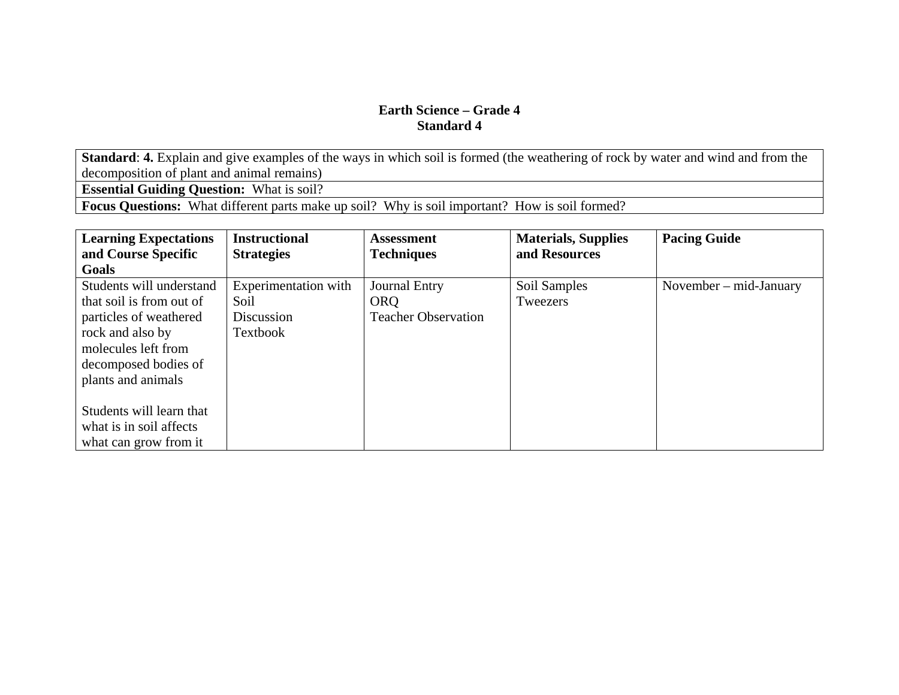**Standard**: **4.** Explain and give examples of the ways in which soil is formed (the weathering of rock by water and wind and from the decomposition of plant and animal remains)

**Essential Guiding Question:** What is soil?

**Focus Questions:** What different parts make up soil? Why is soil important? How is soil formed?

| <b>Learning Expectations</b> | <b>Instructional</b> | <b>Assessment</b>          | <b>Materials, Supplies</b> | <b>Pacing Guide</b>      |
|------------------------------|----------------------|----------------------------|----------------------------|--------------------------|
| and Course Specific          | <b>Strategies</b>    | <b>Techniques</b>          | and Resources              |                          |
| Goals                        |                      |                            |                            |                          |
| Students will understand     | Experimentation with | <b>Journal Entry</b>       | Soil Samples               | November $-$ mid-January |
| that soil is from out of     | Soil                 | <b>ORQ</b>                 | Tweezers                   |                          |
| particles of weathered       | Discussion           | <b>Teacher Observation</b> |                            |                          |
| rock and also by             | Textbook             |                            |                            |                          |
| molecules left from          |                      |                            |                            |                          |
| decomposed bodies of         |                      |                            |                            |                          |
| plants and animals           |                      |                            |                            |                          |
|                              |                      |                            |                            |                          |
| Students will learn that     |                      |                            |                            |                          |
| what is in soil affects      |                      |                            |                            |                          |
| what can grow from it.       |                      |                            |                            |                          |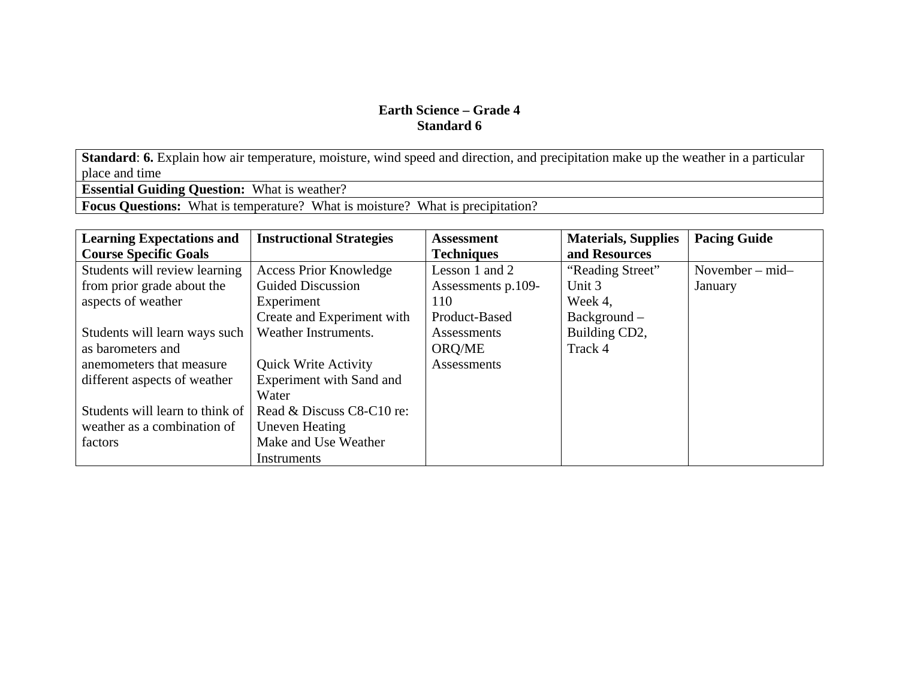**Standard**: **6.** Explain how air temperature, moisture, wind speed and direction, and precipitation make up the weather in a particular place and time

**Essential Guiding Question:** What is weather?

**Focus Questions:** What is temperature? What is moisture? What is precipitation?

| <b>Learning Expectations and</b> | <b>Instructional Strategies</b> | <b>Assessment</b>  | <b>Materials, Supplies</b> | <b>Pacing Guide</b>  |
|----------------------------------|---------------------------------|--------------------|----------------------------|----------------------|
| <b>Course Specific Goals</b>     |                                 | <b>Techniques</b>  | and Resources              |                      |
| Students will review learning    | <b>Access Prior Knowledge</b>   | Lesson 1 and 2     | "Reading Street"           | November $-$ mid $-$ |
| from prior grade about the       | Guided Discussion               | Assessments p.109- | Unit 3                     | January              |
| aspects of weather               | Experiment                      | 110                | Week 4,                    |                      |
|                                  | Create and Experiment with      | Product-Based      | Background -               |                      |
| Students will learn ways such    | Weather Instruments.            | Assessments        | Building CD2,              |                      |
| as barometers and                |                                 | ORQ/ME             | Track 4                    |                      |
| anemometers that measure         | <b>Quick Write Activity</b>     | Assessments        |                            |                      |
| different aspects of weather     | Experiment with Sand and        |                    |                            |                      |
|                                  | Water                           |                    |                            |                      |
| Students will learn to think of  | Read & Discuss C8-C10 re:       |                    |                            |                      |
| weather as a combination of      | <b>Uneven Heating</b>           |                    |                            |                      |
| factors                          | Make and Use Weather            |                    |                            |                      |
|                                  | Instruments                     |                    |                            |                      |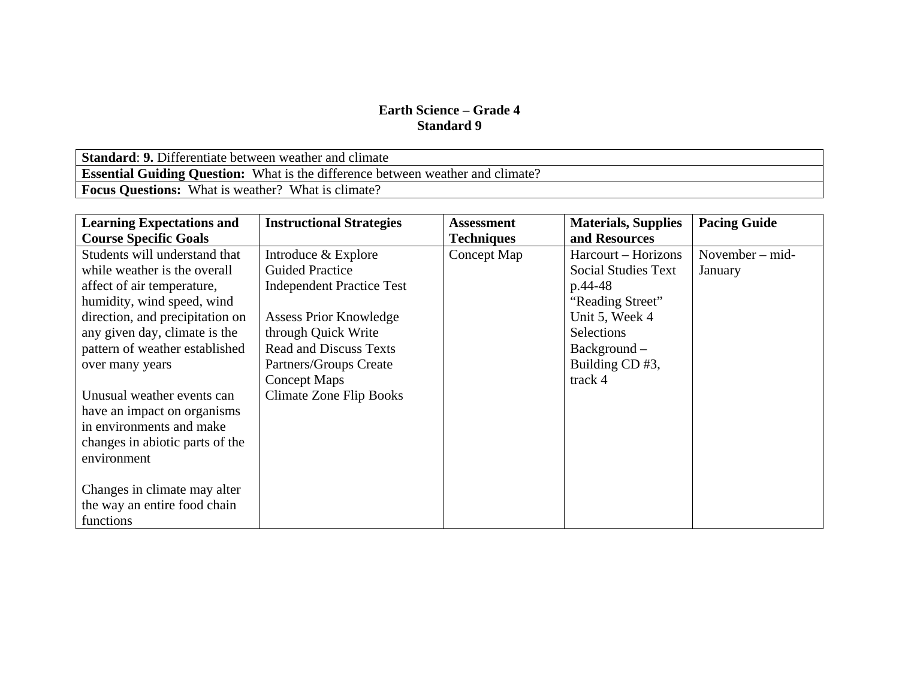**Standard**: **9.** Differentiate between weather and climate **Essential Guiding Question:** What is the difference between weather and climate? **Focus Questions:** What is weather? What is climate?

| <b>Learning Expectations and</b> | <b>Instructional Strategies</b>  | <b>Assessment</b> | <b>Materials, Supplies</b> | <b>Pacing Guide</b> |
|----------------------------------|----------------------------------|-------------------|----------------------------|---------------------|
| <b>Course Specific Goals</b>     |                                  | <b>Techniques</b> | and Resources              |                     |
| Students will understand that    | Introduce & Explore              | Concept Map       | Harcourt – Horizons        | November $-$ mid-   |
| while weather is the overall     | <b>Guided Practice</b>           |                   | <b>Social Studies Text</b> | January             |
| affect of air temperature,       | <b>Independent Practice Test</b> |                   | p.44-48                    |                     |
| humidity, wind speed, wind       |                                  |                   | "Reading Street"           |                     |
| direction, and precipitation on  | <b>Assess Prior Knowledge</b>    |                   | Unit 5, Week 4             |                     |
| any given day, climate is the    | through Quick Write              |                   | <b>Selections</b>          |                     |
| pattern of weather established   | <b>Read and Discuss Texts</b>    |                   | Background -               |                     |
| over many years                  | Partners/Groups Create           |                   | Building CD #3,            |                     |
|                                  | <b>Concept Maps</b>              |                   | track 4                    |                     |
| Unusual weather events can       | <b>Climate Zone Flip Books</b>   |                   |                            |                     |
| have an impact on organisms      |                                  |                   |                            |                     |
| in environments and make         |                                  |                   |                            |                     |
| changes in abiotic parts of the  |                                  |                   |                            |                     |
| environment                      |                                  |                   |                            |                     |
|                                  |                                  |                   |                            |                     |
| Changes in climate may alter     |                                  |                   |                            |                     |
| the way an entire food chain     |                                  |                   |                            |                     |
| functions                        |                                  |                   |                            |                     |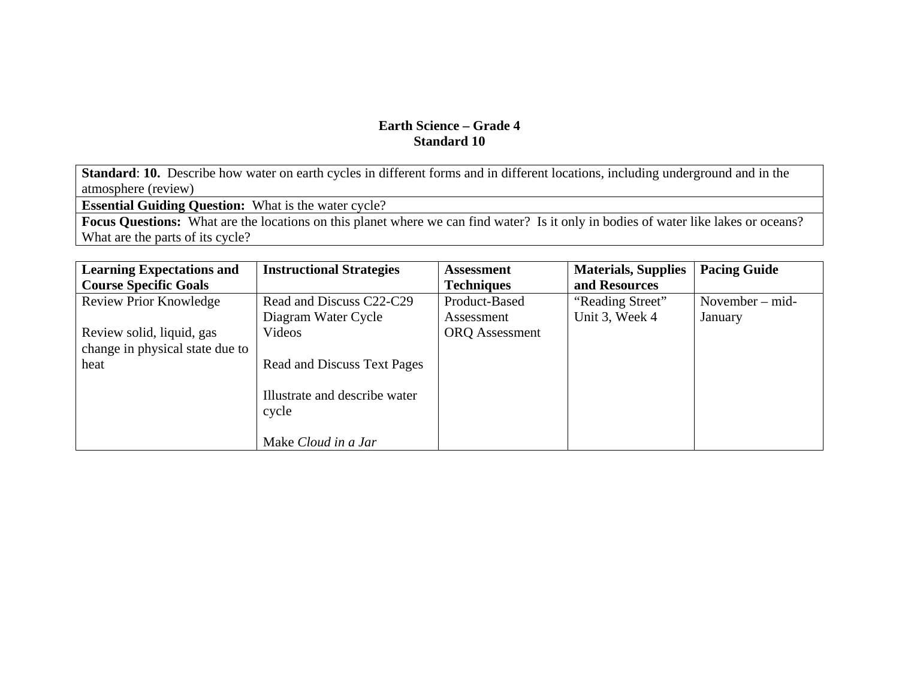**Standard**: **10.** Describe how water on earth cycles in different forms and in different locations, including underground and in the atmosphere (review)

**Essential Guiding Question:** What is the water cycle?

**Focus Questions:** What are the locations on this planet where we can find water? Is it only in bodies of water like lakes or oceans? What are the parts of its cycle?

| <b>Learning Expectations and</b> | <b>Instructional Strategies</b>        | <b>Assessment</b>     | <b>Materials, Supplies</b> | <b>Pacing Guide</b> |
|----------------------------------|----------------------------------------|-----------------------|----------------------------|---------------------|
| <b>Course Specific Goals</b>     |                                        | <b>Techniques</b>     | and Resources              |                     |
| <b>Review Prior Knowledge</b>    | Read and Discuss C22-C29               | Product-Based         | "Reading Street"           | November $-$ mid-   |
|                                  | Diagram Water Cycle                    | Assessment            | Unit 3, Week 4             | January             |
| Review solid, liquid, gas        | Videos                                 | <b>ORQ</b> Assessment |                            |                     |
| change in physical state due to  |                                        |                       |                            |                     |
| heat                             | <b>Read and Discuss Text Pages</b>     |                       |                            |                     |
|                                  |                                        |                       |                            |                     |
|                                  | Illustrate and describe water<br>cycle |                       |                            |                     |
|                                  |                                        |                       |                            |                     |
|                                  | Make Cloud in a Jar                    |                       |                            |                     |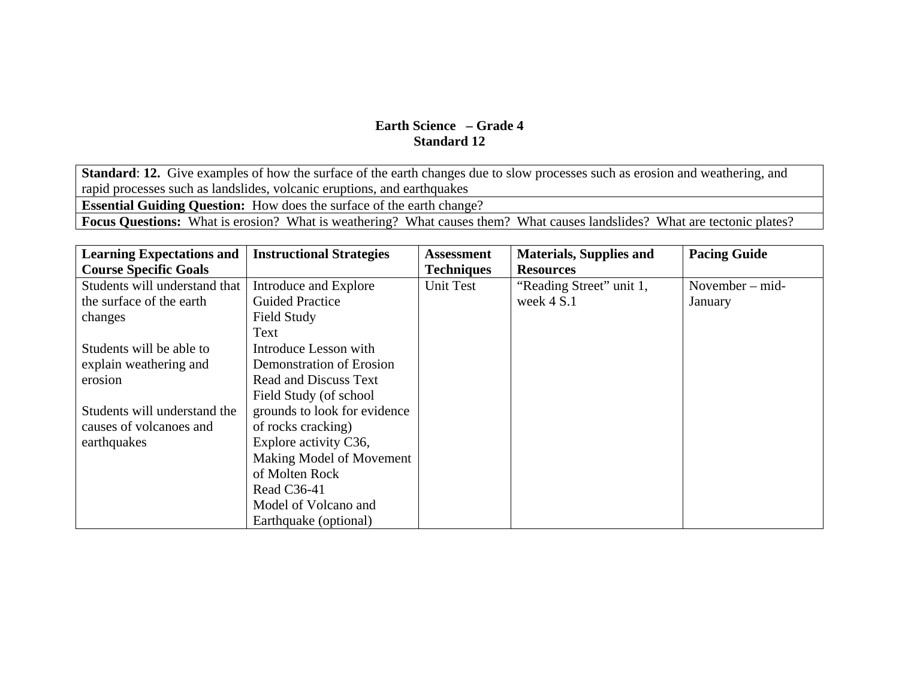**Standard: 12.** Give examples of how the surface of the earth changes due to slow processes such as erosion and weathering, and rapid processes such as landslides, volcanic eruptions, and earthquakes **Essential Guiding Question:** How does the surface of the earth change? **Focus Questions:** What is erosion? What is weathering? What causes them? What causes landslides? What are tectonic plates?

| <b>Learning Expectations and</b> | <b>Instructional Strategies</b> | <b>Assessment</b> | <b>Materials, Supplies and</b> | <b>Pacing Guide</b> |
|----------------------------------|---------------------------------|-------------------|--------------------------------|---------------------|
| <b>Course Specific Goals</b>     |                                 | <b>Techniques</b> | <b>Resources</b>               |                     |
| Students will understand that    | Introduce and Explore           | Unit Test         | "Reading Street" unit 1,       | November – mid-     |
| the surface of the earth         | <b>Guided Practice</b>          |                   | week $4 S.1$                   | January             |
| changes                          | Field Study                     |                   |                                |                     |
|                                  | Text                            |                   |                                |                     |
| Students will be able to         | Introduce Lesson with           |                   |                                |                     |
| explain weathering and           | Demonstration of Erosion        |                   |                                |                     |
| erosion                          | <b>Read and Discuss Text</b>    |                   |                                |                     |
|                                  | Field Study (of school          |                   |                                |                     |
| Students will understand the     | grounds to look for evidence    |                   |                                |                     |
| causes of volcanoes and          | of rocks cracking)              |                   |                                |                     |
| earthquakes                      | Explore activity C36,           |                   |                                |                     |
|                                  | Making Model of Movement        |                   |                                |                     |
|                                  | of Molten Rock                  |                   |                                |                     |
|                                  | Read C36-41                     |                   |                                |                     |
|                                  | Model of Volcano and            |                   |                                |                     |
|                                  | Earthquake (optional)           |                   |                                |                     |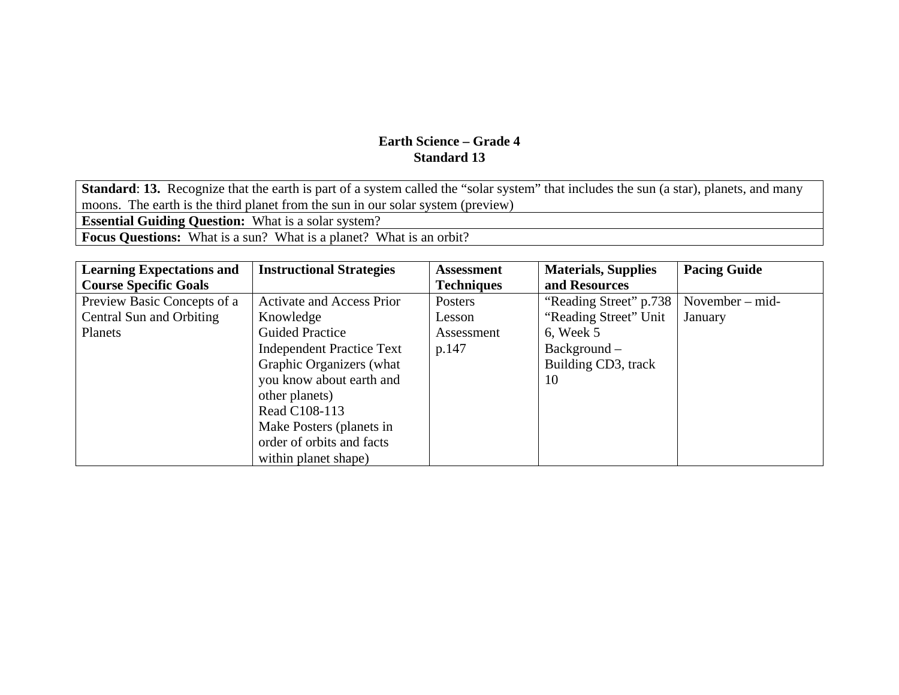**Standard: 13.** Recognize that the earth is part of a system called the "solar system" that includes the sun (a star), planets, and many moons. The earth is the third planet from the sun in our solar system (preview) **Essential Guiding Question:** What is a solar system? **Focus Questions:** What is a sun? What is a planet? What is an orbit?

| <b>Learning Expectations and</b> | <b>Instructional Strategies</b>  | <b>Assessment</b> | <b>Materials, Supplies</b> | <b>Pacing Guide</b> |
|----------------------------------|----------------------------------|-------------------|----------------------------|---------------------|
| <b>Course Specific Goals</b>     |                                  | <b>Techniques</b> | and Resources              |                     |
| Preview Basic Concepts of a      | <b>Activate and Access Prior</b> | Posters           | "Reading Street" p.738     | November $-$ mid-   |
| Central Sun and Orbiting         | Knowledge                        | Lesson            | "Reading Street" Unit      | January             |
| Planets                          | <b>Guided Practice</b>           | Assessment        | $6.$ Week $5$              |                     |
|                                  | <b>Independent Practice Text</b> | p.147             | $Background -$             |                     |
|                                  | Graphic Organizers (what         |                   | Building CD3, track        |                     |
|                                  | you know about earth and         |                   | 10                         |                     |
|                                  | other planets)                   |                   |                            |                     |
|                                  | Read C108-113                    |                   |                            |                     |
|                                  | Make Posters (planets in         |                   |                            |                     |
|                                  | order of orbits and facts        |                   |                            |                     |
|                                  | within planet shape)             |                   |                            |                     |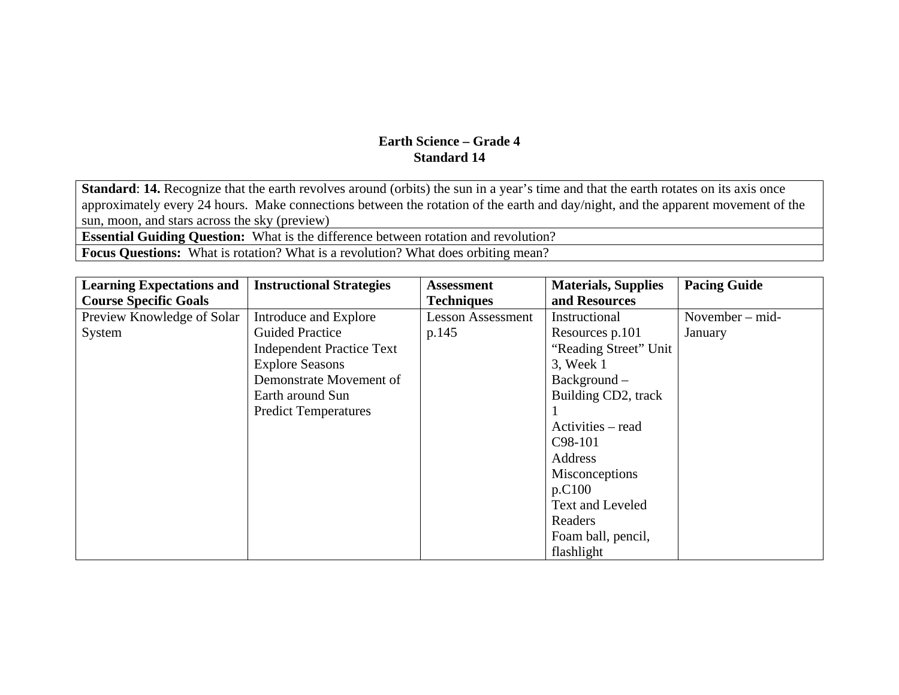**Standard: 14.** Recognize that the earth revolves around (orbits) the sun in a year's time and that the earth rotates on its axis once approximately every 24 hours. Make connections between the rotation of the earth and day/night, and the apparent movement of the sun, moon, and stars across the sky (preview)

**Essential Guiding Question:** What is the difference between rotation and revolution?

**Focus Questions:** What is rotation? What is a revolution? What does orbiting mean?

| <b>Learning Expectations and</b> | <b>Instructional Strategies</b>  | <b>Assessment</b>        | <b>Materials, Supplies</b> | <b>Pacing Guide</b> |
|----------------------------------|----------------------------------|--------------------------|----------------------------|---------------------|
| <b>Course Specific Goals</b>     |                                  | <b>Techniques</b>        | and Resources              |                     |
| Preview Knowledge of Solar       | Introduce and Explore            | <b>Lesson Assessment</b> | Instructional              | November $-$ mid-   |
| System                           | <b>Guided Practice</b>           | p.145                    | Resources p.101            | January             |
|                                  | <b>Independent Practice Text</b> |                          | "Reading Street" Unit      |                     |
|                                  | <b>Explore Seasons</b>           |                          | 3, Week 1                  |                     |
|                                  | Demonstrate Movement of          |                          | $Background -$             |                     |
|                                  | Earth around Sun                 |                          | Building CD2, track        |                     |
|                                  | <b>Predict Temperatures</b>      |                          |                            |                     |
|                                  |                                  |                          | Activities – read          |                     |
|                                  |                                  |                          | C <sub>98</sub> -101       |                     |
|                                  |                                  |                          | Address                    |                     |
|                                  |                                  |                          | Misconceptions             |                     |
|                                  |                                  |                          | p.C100                     |                     |
|                                  |                                  |                          | Text and Leveled           |                     |
|                                  |                                  |                          | Readers                    |                     |
|                                  |                                  |                          | Foam ball, pencil,         |                     |
|                                  |                                  |                          | flashlight                 |                     |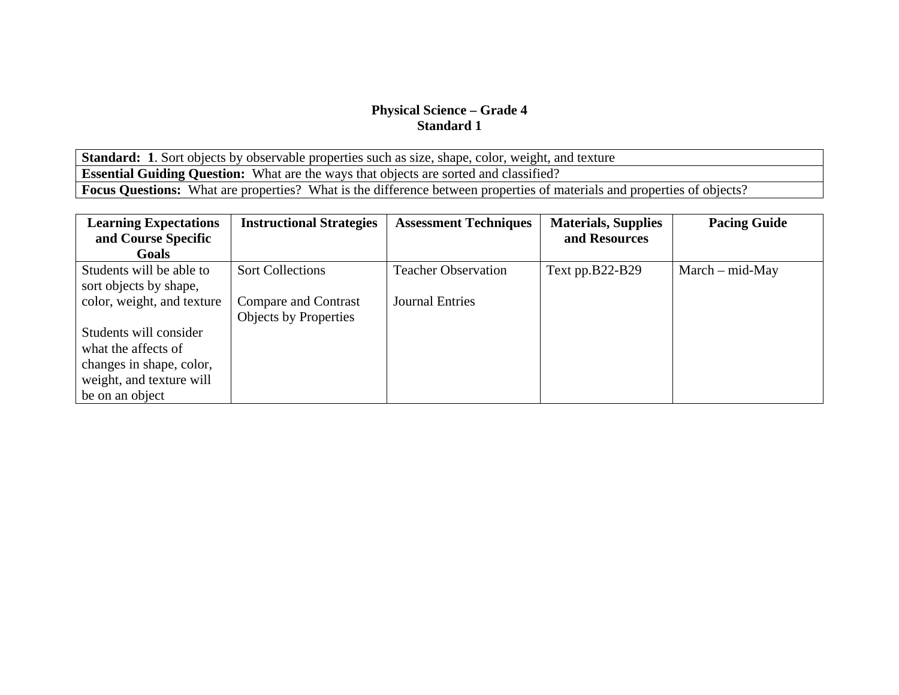Standard: 1. Sort objects by observable properties such as size, shape, color, weight, and texture **Essential Guiding Question:** What are the ways that objects are sorted and classified? **Focus Questions:** What are properties? What is the difference between properties of materials and properties of objects?

| <b>Learning Expectations</b> | <b>Instructional Strategies</b> | <b>Assessment Techniques</b> | <b>Materials, Supplies</b> | <b>Pacing Guide</b> |
|------------------------------|---------------------------------|------------------------------|----------------------------|---------------------|
| and Course Specific          |                                 |                              | and Resources              |                     |
| Goals                        |                                 |                              |                            |                     |
| Students will be able to     | <b>Sort Collections</b>         | <b>Teacher Observation</b>   | Text pp.B22-B29            | $March - mid-May$   |
| sort objects by shape,       |                                 |                              |                            |                     |
| color, weight, and texture   | Compare and Contrast            | <b>Journal Entries</b>       |                            |                     |
|                              | <b>Objects by Properties</b>    |                              |                            |                     |
| Students will consider       |                                 |                              |                            |                     |
| what the affects of          |                                 |                              |                            |                     |
| changes in shape, color,     |                                 |                              |                            |                     |
| weight, and texture will     |                                 |                              |                            |                     |
| be on an object              |                                 |                              |                            |                     |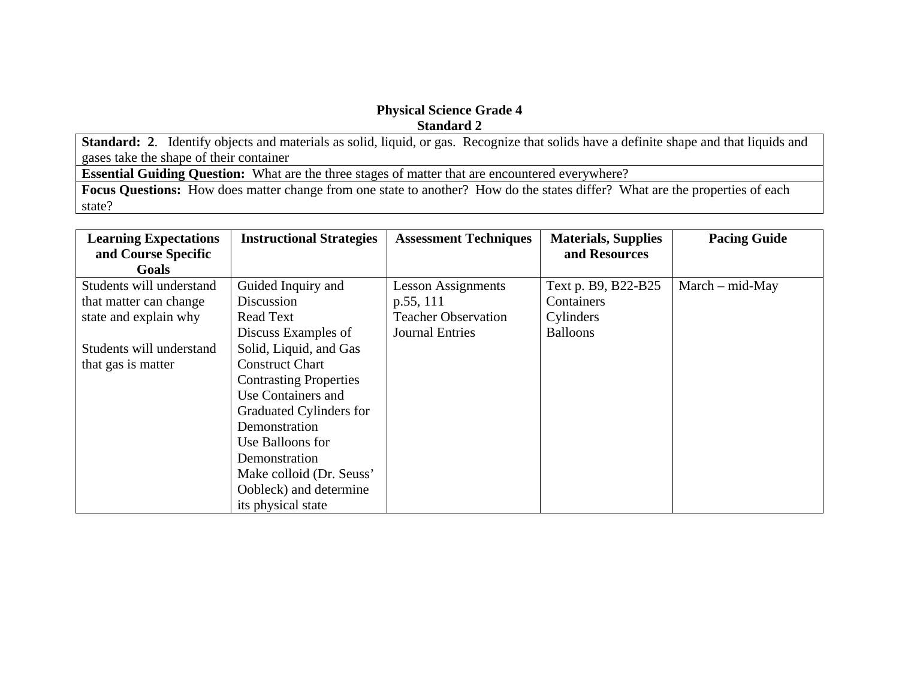**Standard: 2**. Identify objects and materials as solid, liquid, or gas. Recognize that solids have a definite shape and that liquids and gases take the shape of their container

**Essential Guiding Question:** What are the three stages of matter that are encountered everywhere?

**Focus Questions:** How does matter change from one state to another? How do the states differ? What are the properties of each state?

| <b>Learning Expectations</b> | <b>Instructional Strategies</b> | <b>Assessment Techniques</b> | <b>Materials, Supplies</b> | <b>Pacing Guide</b> |
|------------------------------|---------------------------------|------------------------------|----------------------------|---------------------|
| and Course Specific          |                                 |                              | and Resources              |                     |
| Goals                        |                                 |                              |                            |                     |
| Students will understand     | Guided Inquiry and              | <b>Lesson Assignments</b>    | Text p. B9, B22-B25        | $March - mid-May$   |
| that matter can change       | Discussion                      | p.55, 111                    | Containers                 |                     |
| state and explain why        | <b>Read Text</b>                | <b>Teacher Observation</b>   | Cylinders                  |                     |
|                              | Discuss Examples of             | <b>Journal Entries</b>       | <b>Balloons</b>            |                     |
| Students will understand     | Solid, Liquid, and Gas          |                              |                            |                     |
| that gas is matter           | <b>Construct Chart</b>          |                              |                            |                     |
|                              | <b>Contrasting Properties</b>   |                              |                            |                     |
|                              | Use Containers and              |                              |                            |                     |
|                              | Graduated Cylinders for         |                              |                            |                     |
|                              | Demonstration                   |                              |                            |                     |
|                              | Use Balloons for                |                              |                            |                     |
|                              | Demonstration                   |                              |                            |                     |
|                              | Make colloid (Dr. Seuss'        |                              |                            |                     |
|                              | Oobleck) and determine          |                              |                            |                     |
|                              | its physical state              |                              |                            |                     |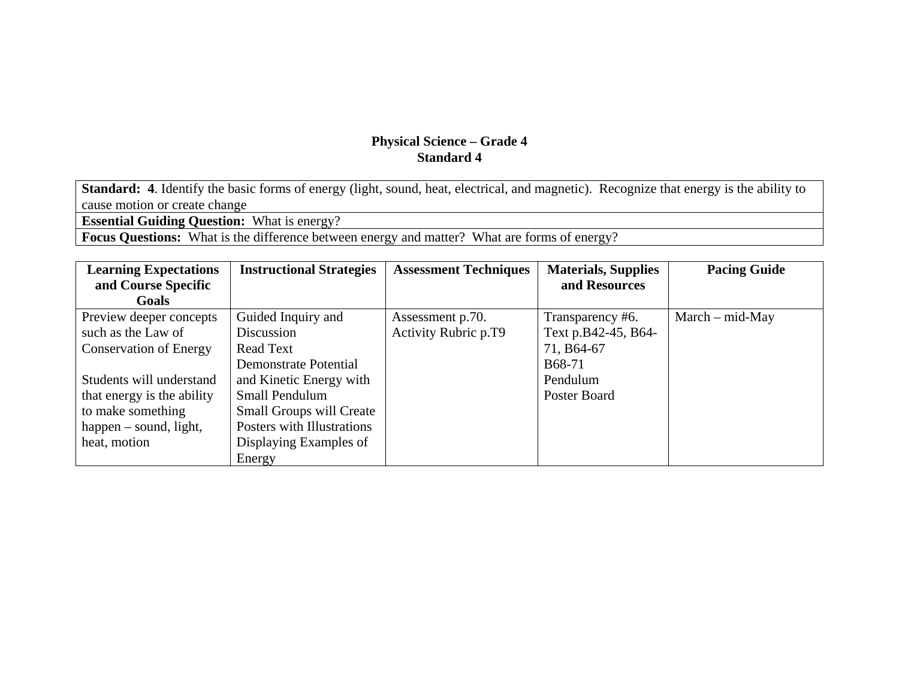**Standard: 4**. Identify the basic forms of energy (light, sound, heat, electrical, and magnetic). Recognize that energy is the ability to cause motion or create change

**Essential Guiding Question:** What is energy?

**Focus Questions:** What is the difference between energy and matter? What are forms of energy?

| <b>Learning Expectations</b>  | <b>Instructional Strategies</b> | <b>Assessment Techniques</b> | <b>Materials, Supplies</b> | <b>Pacing Guide</b> |
|-------------------------------|---------------------------------|------------------------------|----------------------------|---------------------|
| and Course Specific           |                                 |                              | and Resources              |                     |
| Goals                         |                                 |                              |                            |                     |
| Preview deeper concepts       | Guided Inquiry and              | Assessment p.70.             | Transparency #6.           | $March - mid-May$   |
| such as the Law of            | Discussion                      | <b>Activity Rubric p.T9</b>  | Text p.B42-45, B64-        |                     |
| <b>Conservation of Energy</b> | <b>Read Text</b>                |                              | 71, B64-67                 |                     |
|                               | <b>Demonstrate Potential</b>    |                              | B68-71                     |                     |
| Students will understand      | and Kinetic Energy with         |                              | Pendulum                   |                     |
| that energy is the ability    | Small Pendulum                  |                              | Poster Board               |                     |
| to make something             | <b>Small Groups will Create</b> |                              |                            |                     |
| happen – sound, light,        | Posters with Illustrations      |                              |                            |                     |
| heat, motion                  | Displaying Examples of          |                              |                            |                     |
|                               | Energy                          |                              |                            |                     |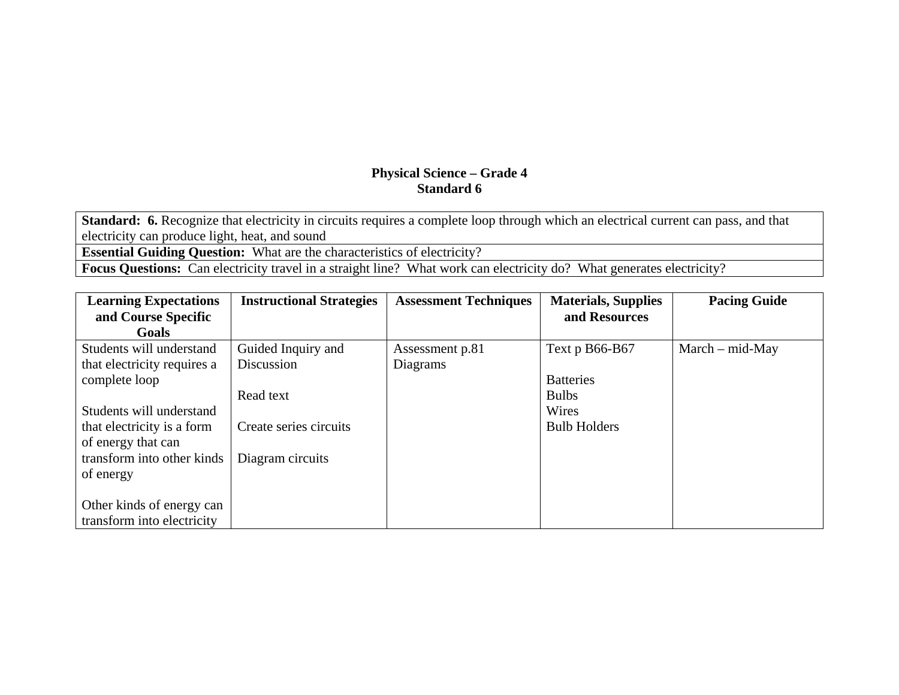**Standard: 6.** Recognize that electricity in circuits requires a complete loop through which an electrical current can pass, and that electricity can produce light, heat, and sound

**Essential Guiding Question:** What are the characteristics of electricity?

**Focus Questions:** Can electricity travel in a straight line? What work can electricity do? What generates electricity?

| <b>Learning Expectations</b> | <b>Instructional Strategies</b> | <b>Assessment Techniques</b> | <b>Materials, Supplies</b> | <b>Pacing Guide</b> |
|------------------------------|---------------------------------|------------------------------|----------------------------|---------------------|
| and Course Specific          |                                 |                              | and Resources              |                     |
| Goals                        |                                 |                              |                            |                     |
| Students will understand     | Guided Inquiry and              | Assessment p.81              | Text p B66-B67             | $March - mid-May$   |
| that electricity requires a  | Discussion                      | Diagrams                     |                            |                     |
| complete loop                |                                 |                              | <b>Batteries</b>           |                     |
|                              | Read text                       |                              | <b>Bulbs</b>               |                     |
| Students will understand     |                                 |                              | Wires                      |                     |
| that electricity is a form   | Create series circuits          |                              | <b>Bulb Holders</b>        |                     |
| of energy that can           |                                 |                              |                            |                     |
| transform into other kinds   | Diagram circuits                |                              |                            |                     |
| of energy                    |                                 |                              |                            |                     |
|                              |                                 |                              |                            |                     |
| Other kinds of energy can    |                                 |                              |                            |                     |
| transform into electricity   |                                 |                              |                            |                     |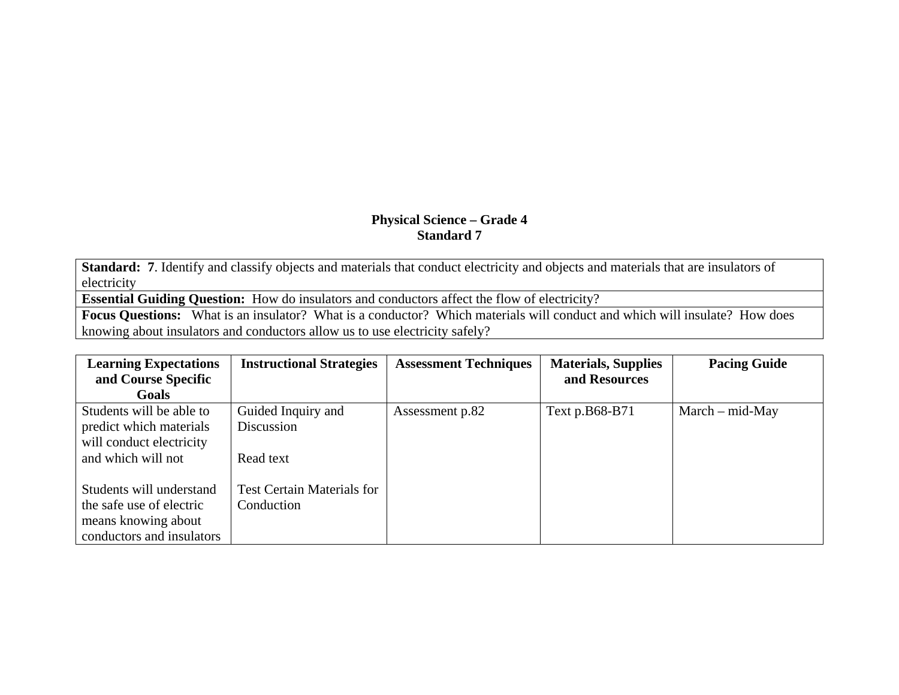**Standard: 7**. Identify and classify objects and materials that conduct electricity and objects and materials that are insulators of electricity

**Essential Guiding Question:** How do insulators and conductors affect the flow of electricity?

**Focus Questions:** What is an insulator? What is a conductor? Which materials will conduct and which will insulate? How does knowing about insulators and conductors allow us to use electricity safely?

| <b>Learning Expectations</b> | <b>Instructional Strategies</b>   | <b>Assessment Techniques</b> | <b>Materials, Supplies</b> | <b>Pacing Guide</b> |
|------------------------------|-----------------------------------|------------------------------|----------------------------|---------------------|
| and Course Specific          |                                   |                              | and Resources              |                     |
| <b>Goals</b>                 |                                   |                              |                            |                     |
| Students will be able to     | Guided Inquiry and                | Assessment p.82              | Text p.B68-B71             | $March - mid-May$   |
| predict which materials      | Discussion                        |                              |                            |                     |
| will conduct electricity     |                                   |                              |                            |                     |
| and which will not           | Read text                         |                              |                            |                     |
|                              |                                   |                              |                            |                     |
| Students will understand     | <b>Test Certain Materials for</b> |                              |                            |                     |
| the safe use of electric     | Conduction                        |                              |                            |                     |
| means knowing about          |                                   |                              |                            |                     |
| conductors and insulators    |                                   |                              |                            |                     |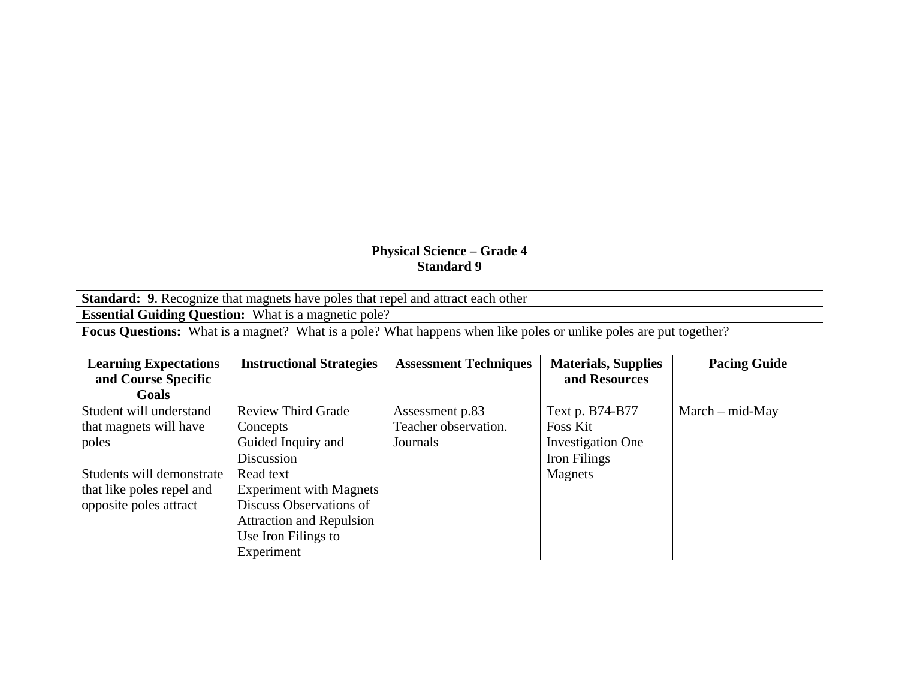| <b>Standard:</b> 9. Recognize that magnets have poles that repel and attract each other                                  |
|--------------------------------------------------------------------------------------------------------------------------|
| <b>Essential Guiding Question:</b> What is a magnetic pole?                                                              |
| <b>Focus Questions:</b> What is a magnet? What is a pole? What happens when like poles or unlike poles are put together? |

| <b>Learning Expectations</b> | <b>Instructional Strategies</b> | <b>Assessment Techniques</b> | <b>Materials, Supplies</b> | <b>Pacing Guide</b> |
|------------------------------|---------------------------------|------------------------------|----------------------------|---------------------|
| and Course Specific          |                                 |                              | and Resources              |                     |
| Goals                        |                                 |                              |                            |                     |
| Student will understand      | <b>Review Third Grade</b>       | Assessment p.83              | Text p. B74-B77            | $March - mid-May$   |
| that magnets will have       | Concepts                        | Teacher observation.         | Foss Kit                   |                     |
| poles                        | Guided Inquiry and              | Journals                     | <b>Investigation One</b>   |                     |
|                              | Discussion                      |                              | Iron Filings               |                     |
| Students will demonstrate    | Read text                       |                              | Magnets                    |                     |
| that like poles repel and    | <b>Experiment with Magnets</b>  |                              |                            |                     |
| opposite poles attract       | Discuss Observations of         |                              |                            |                     |
|                              | <b>Attraction and Repulsion</b> |                              |                            |                     |
|                              | Use Iron Filings to             |                              |                            |                     |
|                              | Experiment                      |                              |                            |                     |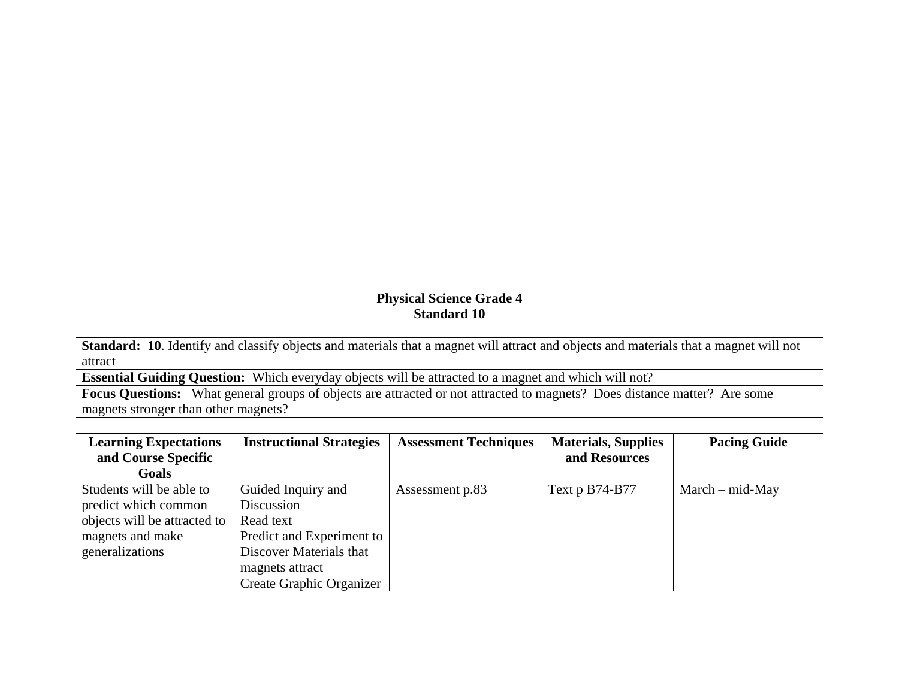**Standard: 10**. Identify and classify objects and materials that a magnet will attract and objects and materials that a magnet will not attract

**Essential Guiding Question:** Which everyday objects will be attracted to a magnet and which will not?

**Focus Questions:** What general groups of objects are attracted or not attracted to magnets? Does distance matter? Are some magnets stronger than other magnets?

| <b>Learning Expectations</b> | <b>Instructional Strategies</b> | <b>Assessment Techniques</b> | <b>Materials, Supplies</b> | <b>Pacing Guide</b> |
|------------------------------|---------------------------------|------------------------------|----------------------------|---------------------|
| and Course Specific          |                                 |                              | and Resources              |                     |
| Goals                        |                                 |                              |                            |                     |
| Students will be able to     | Guided Inquiry and              | Assessment p.83              | Text p B74-B77             | $March - mid-May$   |
| predict which common         | Discussion                      |                              |                            |                     |
| objects will be attracted to | Read text                       |                              |                            |                     |
| magnets and make             | Predict and Experiment to       |                              |                            |                     |
| generalizations              | Discover Materials that         |                              |                            |                     |
|                              | magnets attract                 |                              |                            |                     |
|                              | <b>Create Graphic Organizer</b> |                              |                            |                     |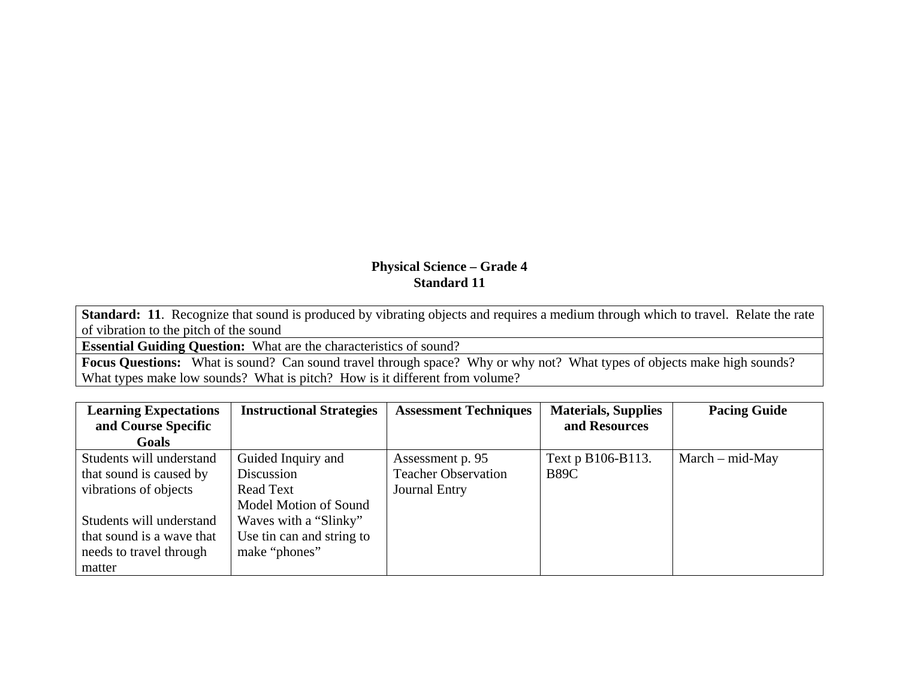**Standard: 11**. Recognize that sound is produced by vibrating objects and requires a medium through which to travel. Relate the rate of vibration to the pitch of the sound

**Essential Guiding Question:** What are the characteristics of sound?

**Focus Questions:** What is sound? Can sound travel through space? Why or why not? What types of objects make high sounds? What types make low sounds? What is pitch? How is it different from volume?

| <b>Learning Expectations</b> | <b>Instructional Strategies</b> | <b>Assessment Techniques</b> | <b>Materials, Supplies</b> | <b>Pacing Guide</b> |
|------------------------------|---------------------------------|------------------------------|----------------------------|---------------------|
| and Course Specific          |                                 |                              | and Resources              |                     |
| <b>Goals</b>                 |                                 |                              |                            |                     |
| Students will understand     | Guided Inquiry and              | Assessment p. 95             | Text p B106-B113.          | $March - mid-May$   |
| that sound is caused by      | Discussion                      | <b>Teacher Observation</b>   | <b>B89C</b>                |                     |
| vibrations of objects        | <b>Read Text</b>                | <b>Journal Entry</b>         |                            |                     |
|                              | Model Motion of Sound           |                              |                            |                     |
| Students will understand     | Waves with a "Slinky"           |                              |                            |                     |
| that sound is a wave that    | Use tin can and string to       |                              |                            |                     |
| needs to travel through      | make "phones"                   |                              |                            |                     |
| matter                       |                                 |                              |                            |                     |